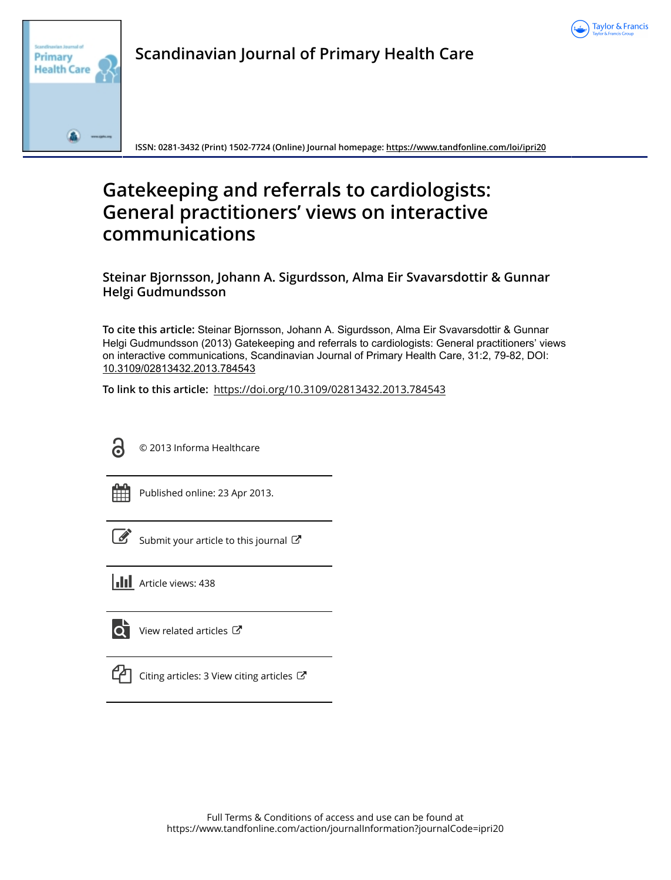



**Scandinavian Journal of Primary Health Care**

**ISSN: 0281-3432 (Print) 1502-7724 (Online) Journal homepage:<https://www.tandfonline.com/loi/ipri20>**

# **Gatekeeping and referrals to cardiologists: General practitioners' views on interactive communications**

**Steinar Bjornsson, Johann A. Sigurdsson, Alma Eir Svavarsdottir & Gunnar Helgi Gudmundsson**

**To cite this article:** Steinar Bjornsson, Johann A. Sigurdsson, Alma Eir Svavarsdottir & Gunnar Helgi Gudmundsson (2013) Gatekeeping and referrals to cardiologists: General practitioners' views on interactive communications, Scandinavian Journal of Primary Health Care, 31:2, 79-82, DOI: [10.3109/02813432.2013.784543](https://www.tandfonline.com/action/showCitFormats?doi=10.3109/02813432.2013.784543)

**To link to this article:** <https://doi.org/10.3109/02813432.2013.784543>



© 2013 Informa Healthcare

Published online: 23 Apr 2013.

| __<br>۰. |
|----------|
|----------|

[Submit your article to this journal](https://www.tandfonline.com/action/authorSubmission?journalCode=ipri20&show=instructions)  $\mathbb{Z}$ 

**Article views: 438** 

lo i [View related articles](https://www.tandfonline.com/doi/mlt/10.3109/02813432.2013.784543)  $\mathbb{Z}$ 



 $\Box$  [Citing articles: 3 View citing articles](https://www.tandfonline.com/doi/citedby/10.3109/02813432.2013.784543#tabModule)  $\Box$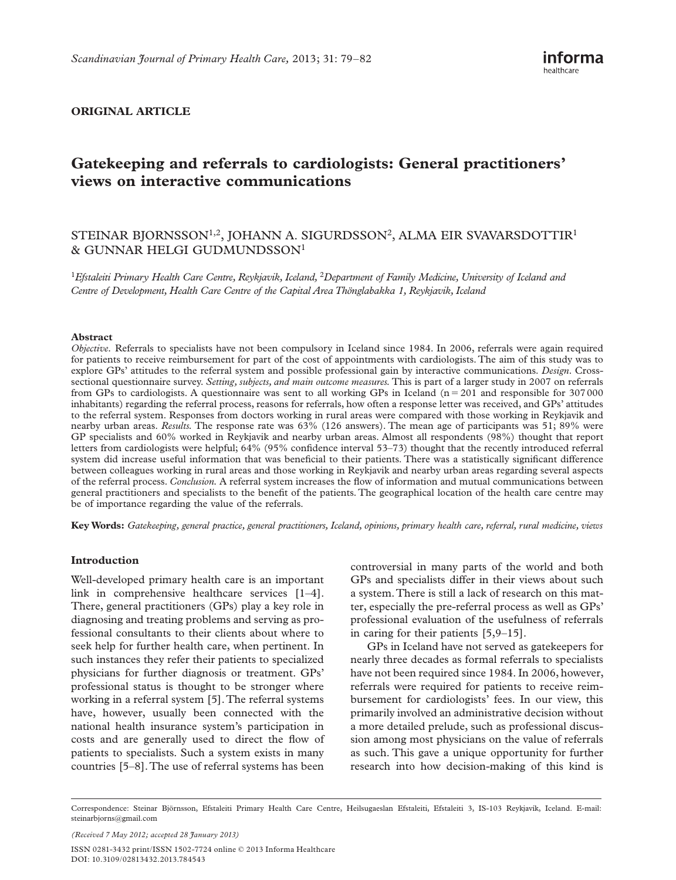### **ORIGINAL ARTICLE**

# **Gatekeeping and referrals to cardiologists: General practitioners ' views on interactive communications**

## STEINAR BJORNSSON<sup>1,2</sup>, JOHANN A. SIGURDSSON<sup>2</sup>, ALMA EIR SVAVARSDOTTIR<sup>1</sup> & GUNNAR HELGI GUDMUNDSSON<sup>1</sup>

<sup>1</sup>*Efstaleiti Primary Health Care Centre, Reykjavik, Iceland,* <sup>2</sup>*Department of Family Medicine, University of Iceland and*  Centre of Development, Health Care Centre of the Capital Area Thönglabakka 1, Reykjavik, Iceland

#### **Abstract**

*Objective.* Referrals to specialists have not been compulsory in Iceland since 1984. In 2006, referrals were again required for patients to receive reimbursement for part of the cost of appointments with cardiologists. The aim of this study was to explore GPs 'attitudes to the referral system and possible professional gain by interactive communications. *Design*. Crosssectional questionnaire survey. *Setting, subjects, and main outcome measures.* This is part of a larger study in 2007 on referrals from GPs to cardiologists. A questionnaire was sent to all working GPs in Iceland  $(n = 201)$  and responsible for 307000 inhabitants) regarding the referral process, reasons for referrals, how often a response letter was received, and GPs 'attitudes to the referral system. Responses from doctors working in rural areas were compared with those working in Reykjavik and nearby urban areas. *Results.* The response rate was 63% (126 answers). The mean age of participants was 51; 89% were GP specialists and 60% worked in Reykjavik and nearby urban areas. Almost all respondents (98%) thought that report letters from cardiologists were helpful; 64% (95% confidence interval 53–73) thought that the recently introduced referral system did increase useful information that was beneficial to their patients. There was a statistically significant difference between colleagues working in rural areas and those working in Reykjavik and nearby urban areas regarding several aspects of the referral process. *Conclusion*. A referral system increases the flow of information and mutual communications between general practitioners and specialists to the benefit of the patients. The geographical location of the health care centre may be of importance regarding the value of the referrals.

**Key Words:** *Gatekeeping , general practice , general practitioners , Iceland , opinions , primary health care , referral , rural medicine , views* 

#### **Introduction**

Well-developed primary health care is an important link in comprehensive healthcare services  $[1-4]$ . There, general practitioners (GPs) play a key role in diagnosing and treating problems and serving as professional consultants to their clients about where to seek help for further health care, when pertinent. In such instances they refer their patients to specialized physicians for further diagnosis or treatment. GPs ' professional status is thought to be stronger where working in a referral system [5]. The referral systems have, however, usually been connected with the national health insurance system's participation in costs and are generally used to direct the flow of patients to specialists. Such a system exists in many countries [5-8]. The use of referral systems has been

controversial in many parts of the world and both GPs and specialists differ in their views about such a system. There is still a lack of research on this matter, especially the pre-referral process as well as GPs ' professional evaluation of the usefulness of referrals in caring for their patients  $[5,9-15]$ .

GPs in Iceland have not served as gatekeepers for nearly three decades as formal referrals to specialists have not been required since 1984. In 2006, however, referrals were required for patients to receive reimbursement for cardiologists' fees. In our view, this primarily involved an administrative decision without a more detailed prelude, such as professional discussion among most physicians on the value of referrals as such. This gave a unique opportunity for further research into how decision-making of this kind is

ISSN 0281-3432 print/ISSN 1502-7724 online © 2013 Informa Healthcare DOI: 10.3109/02813432.2013.784543 *(Received 7 May 2012; accepted 28 January 2013)* 

Correspondence: Steinar Björnsson, Efstaleiti Primary Health Care Centre, Heilsugaeslan Efstaleiti, Efstaleiti 3, IS-103 Reykjavík, Iceland. E-mail: steinarbjorns@gmail.com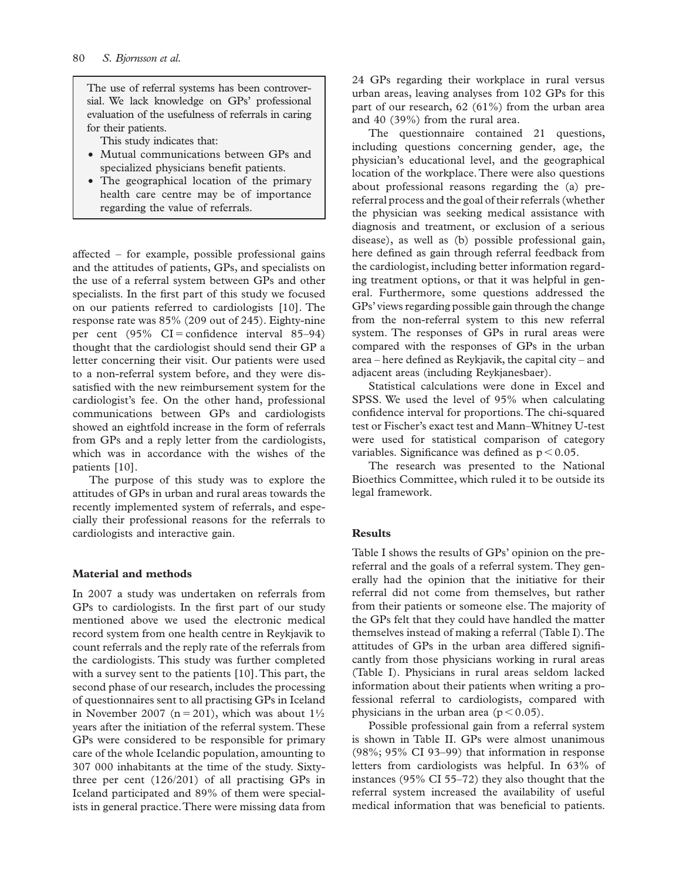The use of referral systems has been controversial. We lack knowledge on GPs' professional evaluation of the usefulness of referrals in caring for their patients.

This study indicates that:

- Mutual communications between GPs and specialized physicians benefit patients.
- The geographical location of the primary health care centre may be of importance regarding the value of referrals.

affected – for example, possible professional gains and the attitudes of patients, GPs, and specialists on the use of a referral system between GPs and other specialists. In the first part of this study we focused on our patients referred to cardiologists [10]. The response rate was 85% (209 out of 245). Eighty-nine per cent  $(95\% \text{ CI} = \text{confidence interval } 85-94)$ thought that the cardiologist should send their GP a letter concerning their visit. Our patients were used to a non-referral system before, and they were dissatisfied with the new reimbursement system for the cardiologist's fee. On the other hand, professional communications between GPs and cardiologists showed an eightfold increase in the form of referrals from GPs and a reply letter from the cardiologists, which was in accordance with the wishes of the patients [10].

The purpose of this study was to explore the attitudes of GPs in urban and rural areas towards the recently implemented system of referrals, and especially their professional reasons for the referrals to cardiologists and interactive gain.

#### **Material and methods**

In 2007 a study was undertaken on referrals from GPs to cardiologists. In the first part of our study mentioned above we used the electronic medical record system from one health centre in Reykjavik to count referrals and the reply rate of the referrals from the cardiologists. This study was further completed with a survey sent to the patients [10]. This part, the second phase of our research, includes the processing of questionnaires sent to all practising GPs in Iceland in November 2007 ( $n = 201$ ), which was about  $1\frac{1}{2}$ years after the initiation of the referral system. These GPs were considered to be responsible for primary care of the whole Icelandic population, amounting to 307 000 inhabitants at the time of the study. Sixtythree per cent (126/201) of all practising GPs in Iceland participated and 89% of them were specialists in general practice. There were missing data from

24 GPs regarding their workplace in rural versus urban areas, leaving analyses from 102 GPs for this part of our research, 62 (61%) from the urban area and 40 (39%) from the rural area.

The questionnaire contained 21 questions, including questions concerning gender, age, the physician's educational level, and the geographical location of the workplace. There were also questions about professional reasons regarding the (a) prereferral process and the goal of their referrals (whether the physician was seeking medical assistance with diagnosis and treatment, or exclusion of a serious disease), as well as (b) possible professional gain, here defined as gain through referral feedback from the cardiologist, including better information regarding treatment options, or that it was helpful in general. Furthermore, some questions addressed the GPs 'views regarding possible gain through the change from the non-referral system to this new referral system. The responses of GPs in rural areas were compared with the responses of GPs in the urban area – here defined as Reykjavik, the capital city – and adjacent areas (including Reykjanesbaer).

Statistical calculations were done in Excel and SPSS. We used the level of 95% when calculating confidence interval for proportions. The chi-squared test or Fischer's exact test and Mann-Whitney U-test were used for statistical comparison of category variables. Significance was defined as  $p < 0.05$ .

The research was presented to the National Bioethics Committee, which ruled it to be outside its legal framework.

#### **Results**

Table I shows the results of GPs' opinion on the prereferral and the goals of a referral system. They generally had the opinion that the initiative for their referral did not come from themselves, but rather from their patients or someone else. The majority of the GPs felt that they could have handled the matter themselves instead of making a referral (Table I). The attitudes of GPs in the urban area differed significantly from those physicians working in rural areas (Table I). Physicians in rural areas seldom lacked information about their patients when writing a professional referral to cardiologists, compared with physicians in the urban area ( $p < 0.05$ ).

Possible professional gain from a referral system is shown in Table II. GPs were almost unanimous (98%; 95% CI 93-99) that information in response letters from cardiologists was helpful. In 63% of instances (95% CI 55-72) they also thought that the referral system increased the availability of useful medical information that was beneficial to patients.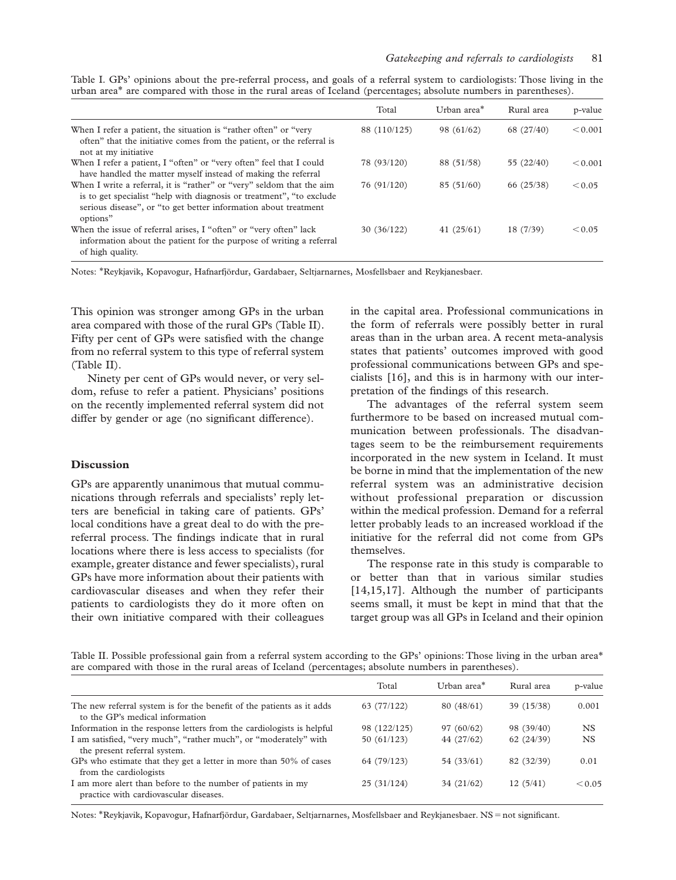Table I. GPs' opinions about the pre-referral process, and goals of a referral system to cardiologists: Those living in the urban area<sup>\*</sup> are compared with those in the rural areas of Iceland (percentages; absolute numbers in parentheses).

|                                                                                                                                                                                                                               | Total        | Urban area* | Rural area   | p-value |
|-------------------------------------------------------------------------------------------------------------------------------------------------------------------------------------------------------------------------------|--------------|-------------|--------------|---------|
| When I refer a patient, the situation is "rather often" or "very<br>often" that the initiative comes from the patient, or the referral is<br>not at my initiative                                                             | 88 (110/125) | 98 (61/62)  | 68 (27/40)   | < 0.001 |
| When I refer a patient, I "often" or "very often" feel that I could<br>have handled the matter myself instead of making the referral                                                                                          | 78 (93/120)  | 88 (51/58)  | 55 $(22/40)$ | < 0.001 |
| When I write a referral, it is "rather" or "very" seldom that the aim<br>is to get specialist "help with diagnosis or treatment", "to exclude"<br>serious disease", or "to get better information about treatment<br>options" | 76 (91/120)  | 85(51/60)   | 66 (25/38)   | < 0.05  |
| When the issue of referral arises, I "often" or "very often" lack<br>information about the patient for the purpose of writing a referral<br>of high quality.                                                                  | 30(36/122)   | 41(25/61)   | 18 (7/39)    | < 0.05  |

Notes: \*Reykjavik, Kopavogur, Hafnarfjördur, Gardabaer, Seltjarnarnes, Mosfellsbaer and Reykjanesbaer.

This opinion was stronger among GPs in the urban area compared with those of the rural GPs (Table II). Fifty per cent of GPs were satisfied with the change from no referral system to this type of referral system (Table II).

Ninety per cent of GPs would never, or very seldom, refuse to refer a patient. Physicians' positions on the recently implemented referral system did not differ by gender or age (no significant difference).

#### **Discussion**

GPs are apparently unanimous that mutual communications through referrals and specialists' reply letters are beneficial in taking care of patients. GPs' local conditions have a great deal to do with the prereferral process. The findings indicate that in rural locations where there is less access to specialists (for example, greater distance and fewer specialists), rural GPs have more information about their patients with cardiovascular diseases and when they refer their patients to cardiologists they do it more often on their own initiative compared with their colleagues

in the capital area. Professional communications in the form of referrals were possibly better in rural areas than in the urban area. A recent meta-analysis states that patients' outcomes improved with good professional communications between GPs and specialists [16], and this is in harmony with our interpretation of the findings of this research.

The advantages of the referral system seem furthermore to be based on increased mutual communication between professionals. The disadvantages seem to be the reimbursement requirements incorporated in the new system in Iceland. It must be borne in mind that the implementation of the new referral system was an administrative decision without professional preparation or discussion within the medical profession. Demand for a referral letter probably leads to an increased workload if the initiative for the referral did not come from GPs themselves.

The response rate in this study is comparable to or better than that in various similar studies [14,15,17]. Although the number of participants seems small, it must be kept in mind that that the target group was all GPs in Iceland and their opinion

Table II. Possible professional gain from a referral system according to the GPs' opinions: Those living in the urban area\* are compared with those in the rural areas of Iceland (percentages; absolute numbers in parentheses).

|                                                                                                          | Total        | Urban area* | Rural area | p-value   |
|----------------------------------------------------------------------------------------------------------|--------------|-------------|------------|-----------|
| The new referral system is for the benefit of the patients as it adds<br>to the GP's medical information | 63 (77/122)  | 80(48/61)   | 39 (15/38) | 0.001     |
| Information in the response letters from the cardiologists is helpful                                    | 98 (122/125) | 97(60/62)   | 98 (39/40) | <b>NS</b> |
| I am satisfied, "very much", "rather much", or "moderately" with<br>the present referral system.         | 50(61/123)   | 44 (27/62)  | 62 (24/39) | <b>NS</b> |
| GPs who estimate that they get a letter in more than 50% of cases<br>from the cardiologists              | 64 (79/123)  | 54 (33/61)  | 82 (32/39) | 0.01      |
| I am more alert than before to the number of patients in my<br>practice with cardiovascular diseases.    | 25(31/124)   | 34(21/62)   | 12(5/41)   | < 0.05    |

Notes: \*Reykjavik, Kopavogur, Hafnarfjördur, Gardabaer, Seltjarnarnes, Mosfellsbaer and Reykjanesbaer. NS = not significant.